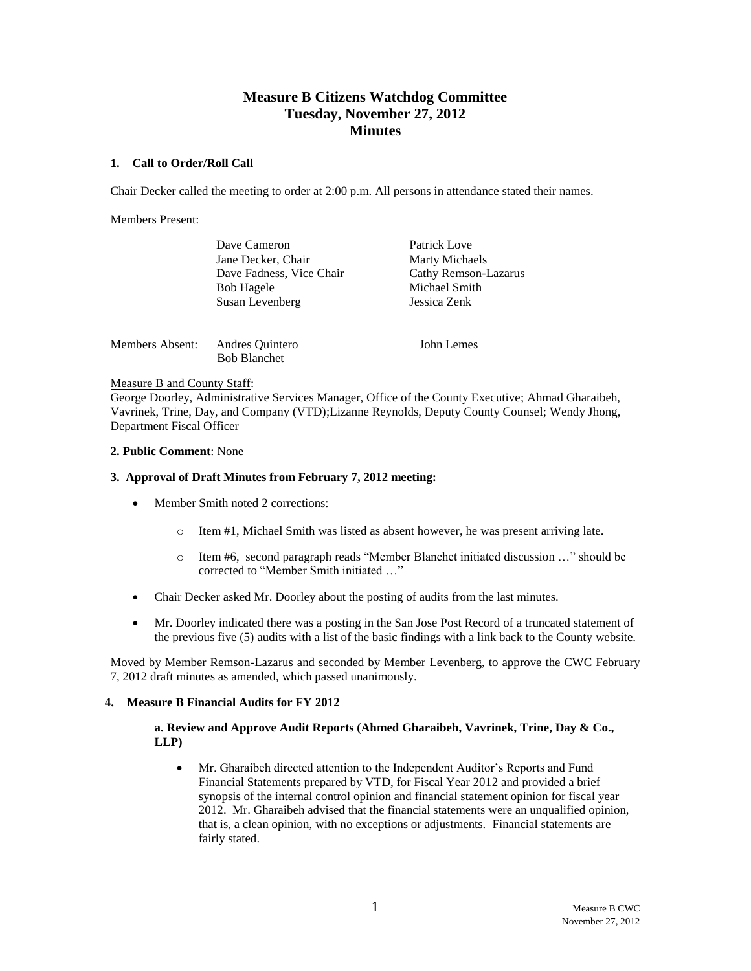# **Measure B Citizens Watchdog Committee Tuesday, November 27, 2012 Minutes**

### **1. Call to Order/Roll Call**

Chair Decker called the meeting to order at 2:00 p.m. All persons in attendance stated their names.

### Members Present:

|                 | Dave Cameron             | Patrick Love          |
|-----------------|--------------------------|-----------------------|
|                 | Jane Decker, Chair       | <b>Marty Michaels</b> |
|                 | Dave Fadness, Vice Chair | Cathy Remson-Lazarus  |
|                 | <b>Bob Hagele</b>        | Michael Smith         |
|                 | Susan Levenberg          | Jessica Zenk          |
|                 |                          |                       |
| Members Absent: | Andres Quintero          | John Lemes            |

# Measure B and County Staff:

George Doorley, Administrative Services Manager, Office of the County Executive; Ahmad Gharaibeh, Vavrinek, Trine, Day, and Company (VTD);Lizanne Reynolds, Deputy County Counsel; Wendy Jhong, Department Fiscal Officer

### **2. Public Comment**: None

#### **3. Approval of Draft Minutes from February 7, 2012 meeting:**

Bob Blanchet

- Member Smith noted 2 corrections:
	- o Item #1, Michael Smith was listed as absent however, he was present arriving late.
	- o Item #6, second paragraph reads "Member Blanchet initiated discussion …" should be corrected to "Member Smith initiated …"
- Chair Decker asked Mr. Doorley about the posting of audits from the last minutes.
- Mr. Doorley indicated there was a posting in the San Jose Post Record of a truncated statement of the previous five (5) audits with a list of the basic findings with a link back to the County website.

Moved by Member Remson-Lazarus and seconded by Member Levenberg, to approve the CWC February 7, 2012 draft minutes as amended, which passed unanimously.

# **4. Measure B Financial Audits for FY 2012**

# **a. Review and Approve Audit Reports (Ahmed Gharaibeh, Vavrinek, Trine, Day & Co., LLP)**

 Mr. Gharaibeh directed attention to the Independent Auditor's Reports and Fund Financial Statements prepared by VTD, for Fiscal Year 2012 and provided a brief synopsis of the internal control opinion and financial statement opinion for fiscal year 2012. Mr. Gharaibeh advised that the financial statements were an unqualified opinion, that is, a clean opinion, with no exceptions or adjustments. Financial statements are fairly stated.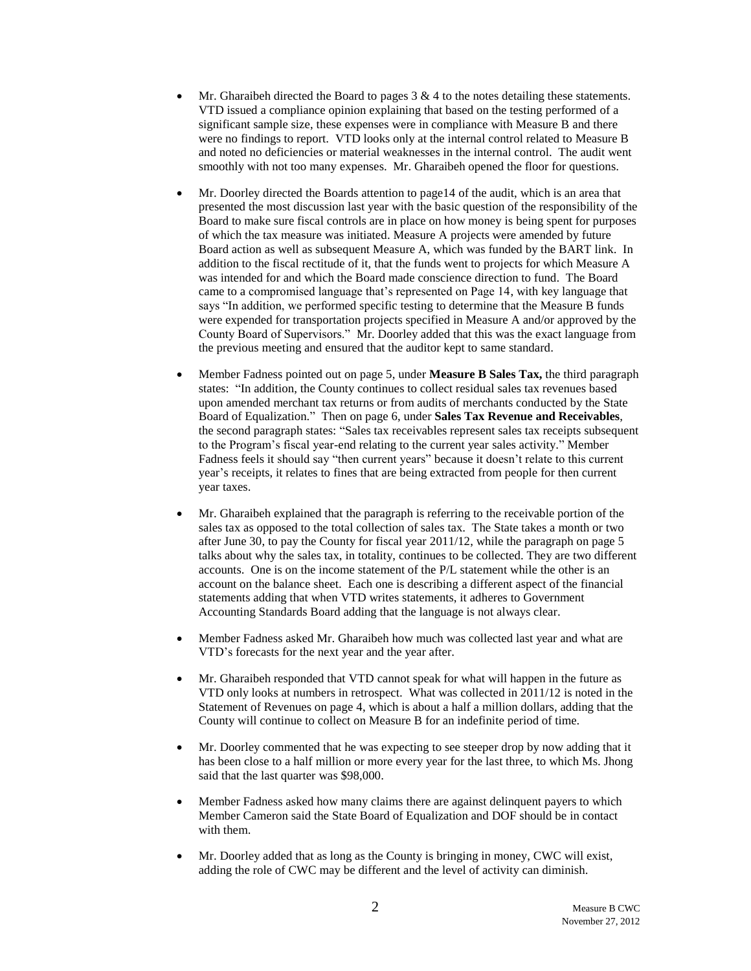- Mr. Gharaibeh directed the Board to pages  $3 \& 4$  to the notes detailing these statements. VTD issued a compliance opinion explaining that based on the testing performed of a significant sample size, these expenses were in compliance with Measure B and there were no findings to report. VTD looks only at the internal control related to Measure B and noted no deficiencies or material weaknesses in the internal control. The audit went smoothly with not too many expenses. Mr. Gharaibeh opened the floor for questions.
- Mr. Doorley directed the Boards attention to page14 of the audit, which is an area that presented the most discussion last year with the basic question of the responsibility of the Board to make sure fiscal controls are in place on how money is being spent for purposes of which the tax measure was initiated. Measure A projects were amended by future Board action as well as subsequent Measure A, which was funded by the BART link. In addition to the fiscal rectitude of it, that the funds went to projects for which Measure A was intended for and which the Board made conscience direction to fund. The Board came to a compromised language that's represented on Page 14, with key language that says "In addition, we performed specific testing to determine that the Measure B funds were expended for transportation projects specified in Measure A and/or approved by the County Board of Supervisors." Mr. Doorley added that this was the exact language from the previous meeting and ensured that the auditor kept to same standard.
- Member Fadness pointed out on page 5, under **Measure B Sales Tax,** the third paragraph states: "In addition, the County continues to collect residual sales tax revenues based upon amended merchant tax returns or from audits of merchants conducted by the State Board of Equalization." Then on page 6, under **Sales Tax Revenue and Receivables**, the second paragraph states: "Sales tax receivables represent sales tax receipts subsequent to the Program's fiscal year-end relating to the current year sales activity." Member Fadness feels it should say "then current years" because it doesn't relate to this current year's receipts, it relates to fines that are being extracted from people for then current year taxes.
- Mr. Gharaibeh explained that the paragraph is referring to the receivable portion of the sales tax as opposed to the total collection of sales tax. The State takes a month or two after June 30, to pay the County for fiscal year 2011/12, while the paragraph on page 5 talks about why the sales tax, in totality, continues to be collected. They are two different accounts. One is on the income statement of the P/L statement while the other is an account on the balance sheet. Each one is describing a different aspect of the financial statements adding that when VTD writes statements, it adheres to Government Accounting Standards Board adding that the language is not always clear.
- Member Fadness asked Mr. Gharaibeh how much was collected last year and what are VTD's forecasts for the next year and the year after.
- Mr. Gharaibeh responded that VTD cannot speak for what will happen in the future as VTD only looks at numbers in retrospect. What was collected in 2011/12 is noted in the Statement of Revenues on page 4, which is about a half a million dollars, adding that the County will continue to collect on Measure B for an indefinite period of time.
- Mr. Doorley commented that he was expecting to see steeper drop by now adding that it has been close to a half million or more every year for the last three, to which Ms. Jhong said that the last quarter was \$98,000.
- Member Fadness asked how many claims there are against delinquent payers to which Member Cameron said the State Board of Equalization and DOF should be in contact with them.
- Mr. Doorley added that as long as the County is bringing in money, CWC will exist, adding the role of CWC may be different and the level of activity can diminish.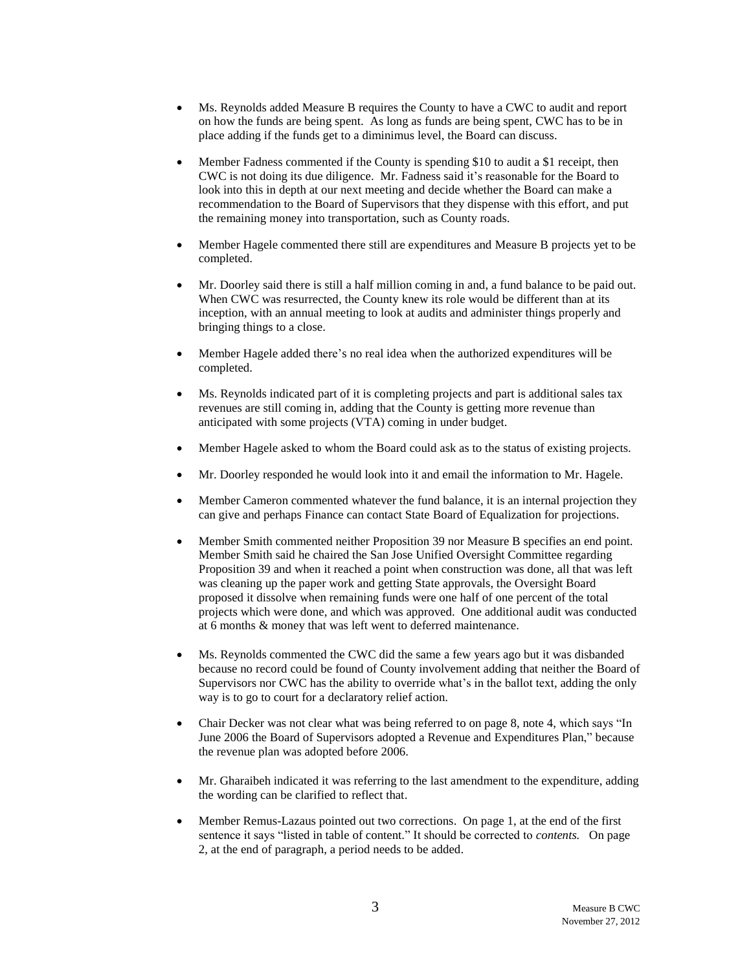- Ms. Reynolds added Measure B requires the County to have a CWC to audit and report on how the funds are being spent. As long as funds are being spent, CWC has to be in place adding if the funds get to a diminimus level, the Board can discuss.
- Member Fadness commented if the County is spending \$10 to audit a \$1 receipt, then CWC is not doing its due diligence. Mr. Fadness said it's reasonable for the Board to look into this in depth at our next meeting and decide whether the Board can make a recommendation to the Board of Supervisors that they dispense with this effort, and put the remaining money into transportation, such as County roads.
- Member Hagele commented there still are expenditures and Measure B projects yet to be completed.
- Mr. Doorley said there is still a half million coming in and, a fund balance to be paid out. When CWC was resurrected, the County knew its role would be different than at its inception, with an annual meeting to look at audits and administer things properly and bringing things to a close.
- Member Hagele added there's no real idea when the authorized expenditures will be completed.
- Ms. Reynolds indicated part of it is completing projects and part is additional sales tax revenues are still coming in, adding that the County is getting more revenue than anticipated with some projects (VTA) coming in under budget.
- Member Hagele asked to whom the Board could ask as to the status of existing projects.
- Mr. Doorley responded he would look into it and email the information to Mr. Hagele.
- Member Cameron commented whatever the fund balance, it is an internal projection they can give and perhaps Finance can contact State Board of Equalization for projections.
- Member Smith commented neither Proposition 39 nor Measure B specifies an end point. Member Smith said he chaired the San Jose Unified Oversight Committee regarding Proposition 39 and when it reached a point when construction was done, all that was left was cleaning up the paper work and getting State approvals, the Oversight Board proposed it dissolve when remaining funds were one half of one percent of the total projects which were done, and which was approved. One additional audit was conducted at 6 months & money that was left went to deferred maintenance.
- Ms. Reynolds commented the CWC did the same a few years ago but it was disbanded because no record could be found of County involvement adding that neither the Board of Supervisors nor CWC has the ability to override what's in the ballot text, adding the only way is to go to court for a declaratory relief action.
- Chair Decker was not clear what was being referred to on page 8, note 4, which says "In June 2006 the Board of Supervisors adopted a Revenue and Expenditures Plan," because the revenue plan was adopted before 2006.
- Mr. Gharaibeh indicated it was referring to the last amendment to the expenditure, adding the wording can be clarified to reflect that.
- Member Remus-Lazaus pointed out two corrections. On page 1, at the end of the first sentence it says "listed in table of content." It should be corrected to *contents.* On page 2, at the end of paragraph, a period needs to be added.